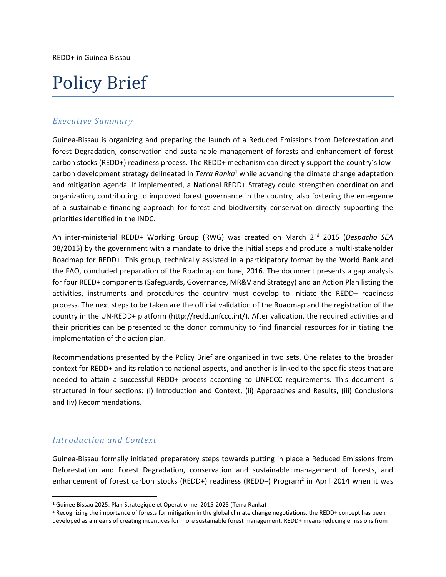# Policy Brief

### *Executive Summary*

Guinea-Bissau is organizing and preparing the launch of a Reduced Emissions from Deforestation and forest Degradation, conservation and sustainable management of forests and enhancement of forest carbon stocks (REDD+) readiness process. The REDD+ mechanism can directly support the country´s lowcarbon development strategy delineated in *Terra Ranka*<sup>1</sup> while advancing the climate change adaptation and mitigation agenda. If implemented, a National REDD+ Strategy could strengthen coordination and organization, contributing to improved forest governance in the country, also fostering the emergence of a sustainable financing approach for forest and biodiversity conservation directly supporting the priorities identified in the INDC.

An inter-ministerial REDD+ Working Group (RWG) was created on March 2nd 2015 (*Despacho SEA* 08/2015) by the government with a mandate to drive the initial steps and produce a multi-stakeholder Roadmap for REDD+. This group, technically assisted in a participatory format by the World Bank and the FAO, concluded preparation of the Roadmap on June, 2016. The document presents a gap analysis for four REED+ components (Safeguards, Governance, MR&V and Strategy) and an Action Plan listing the activities, instruments and procedures the country must develop to initiate the REDD+ readiness process. The next steps to be taken are the official validation of the Roadmap and the registration of the country in the UN-REDD+ platform (http://redd.unfccc.int/). After validation, the required activities and their priorities can be presented to the donor community to find financial resources for initiating the implementation of the action plan.

Recommendations presented by the Policy Brief are organized in two sets. One relates to the broader context for REDD+ and its relation to national aspects, and another is linked to the specific steps that are needed to attain a successful REDD+ process according to UNFCCC requirements. This document is structured in four sections: (i) Introduction and Context, (ii) Approaches and Results, (iii) Conclusions and (iv) Recommendations.

### *Introduction and Context*

 $\overline{\phantom{a}}$ 

Guinea-Bissau formally initiated preparatory steps towards putting in place a Reduced Emissions from Deforestation and Forest Degradation, conservation and sustainable management of forests, and enhancement of forest carbon stocks (REDD+) readiness (REDD+) Program<sup>2</sup> in April 2014 when it was

<sup>1</sup> Guinee Bissau 2025: Plan Strategique et Operationnel 2015-2025 (Terra Ranka)

<sup>&</sup>lt;sup>2</sup> Recognizing the importance of forests for mitigation in the global climate change negotiations, the REDD+ concept has been developed as a means of creating incentives for more sustainable forest management. REDD+ means reducing emissions from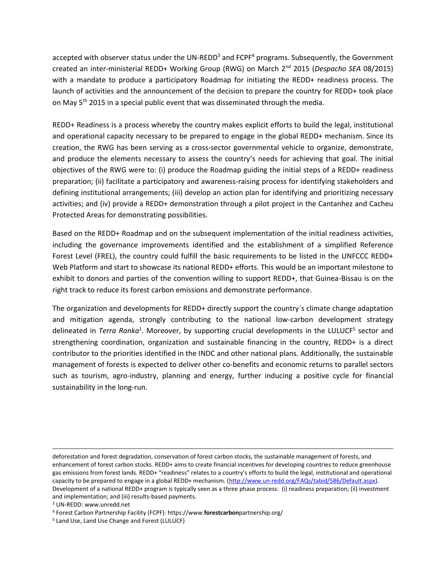accepted with observer status under the UN-REDD<sup>3</sup> and FCPF<sup>4</sup> programs. Subsequently, the Government created an inter-ministerial REDD+ Working Group (RWG) on March 2nd 2015 (*Despacho SEA* 08/2015) with a mandate to produce a participatory Roadmap for initiating the REDD+ readiness process. The launch of activities and the announcement of the decision to prepare the country for REDD+ took place on May 5<sup>th</sup> 2015 in a special public event that was disseminated through the media.

REDD+ Readiness is a process whereby the country makes explicit efforts to build the legal, institutional and operational capacity necessary to be prepared to engage in the global REDD+ mechanism. Since its creation, the RWG has been serving as a cross-sector governmental vehicle to organize, demonstrate, and produce the elements necessary to assess the country's needs for achieving that goal. The initial objectives of the RWG were to: (i) produce the Roadmap guiding the initial steps of a REDD+ readiness preparation; (ii) facilitate a participatory and awareness-raising process for identifying stakeholders and defining institutional arrangements; (iii) develop an action plan for identifying and prioritizing necessary activities; and (iv) provide a REDD+ demonstration through a pilot project in the Cantanhez and Cacheu Protected Areas for demonstrating possibilities.

Based on the REDD+ Roadmap and on the subsequent implementation of the initial readiness activities, including the governance improvements identified and the establishment of a simplified Reference Forest Level (FREL), the country could fulfill the basic requirements to be listed in the UNFCCC REDD+ Web Platform and start to showcase its national REDD+ efforts. This would be an important milestone to exhibit to donors and parties of the convention willing to support REDD+, that Guinea-Bissau is on the right track to reduce its forest carbon emissions and demonstrate performance.

The organization and developments for REDD+ directly support the country´s climate change adaptation and mitigation agenda, strongly contributing to the national low-carbon development strategy delineated in *Terra Ranka<sup>1</sup>*. Moreover, by supporting crucial developments in the LULUCF<sup>5</sup> sector and strengthening coordination, organization and sustainable financing in the country, REDD+ is a direct contributor to the priorities identified in the INDC and other national plans. Additionally, the sustainable management of forests is expected to deliver other co-benefits and economic returns to parallel sectors such as tourism, agro-industry, planning and energy, further inducing a positive cycle for financial sustainability in the long-run.

 $\overline{\phantom{a}}$ 

deforestation and forest degradation, conservation of forest carbon stocks, the sustainable management of forests, and enhancement of forest carbon stocks. REDD+ aims to create financial incentives for developing countries to reduce greenhouse gas emissions from forest lands. REDD+ "readiness" relates to a country's efforts to build the legal, institutional and operational capacity to be prepared to engage in a global REDD+ mechanism. [\(http://www.un-redd.org/FAQs/tabid/586/Default.aspx\)](http://www.un-redd.org/FAQs/tabid/586/Default.aspx). Development of a national REDD+ program is typically seen as a three phase process: (i) readiness preparation; (ii) investment and implementation; and (iii) results-based payments.

<sup>3</sup> UN-REDD: www.unredd.net

<sup>4</sup> Forest Carbon Partnership Facility (FCPF): https://www.**forestcarbon**partnership.org/

<sup>5</sup> Land Use, Land Use Change and Forest (LULUCF)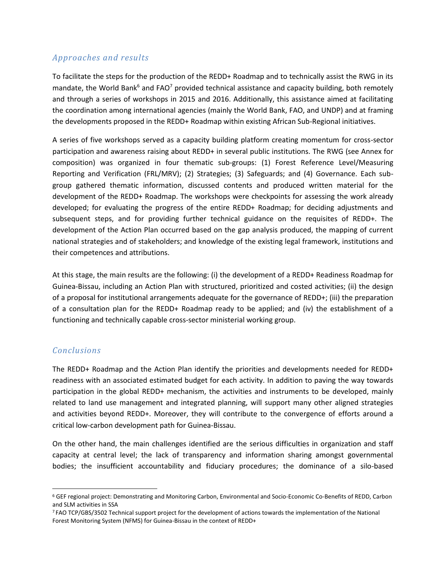## *Approaches and results*

To facilitate the steps for the production of the REDD+ Roadmap and to technically assist the RWG in its mandate, the World Bank<sup>6</sup> and FAO<sup>7</sup> provided technical assistance and capacity building, both remotely and through a series of workshops in 2015 and 2016. Additionally, this assistance aimed at facilitating the coordination among international agencies (mainly the World Bank, FAO, and UNDP) and at framing the developments proposed in the REDD+ Roadmap within existing African Sub-Regional initiatives.

A series of five workshops served as a capacity building platform creating momentum for cross-sector participation and awareness raising about REDD+ in several public institutions. The RWG (see Annex for composition) was organized in four thematic sub-groups: (1) Forest Reference Level/Measuring Reporting and Verification (FRL/MRV); (2) Strategies; (3) Safeguards; and (4) Governance. Each subgroup gathered thematic information, discussed contents and produced written material for the development of the REDD+ Roadmap. The workshops were checkpoints for assessing the work already developed; for evaluating the progress of the entire REDD+ Roadmap; for deciding adjustments and subsequent steps, and for providing further technical guidance on the requisites of REDD+. The development of the Action Plan occurred based on the gap analysis produced, the mapping of current national strategies and of stakeholders; and knowledge of the existing legal framework, institutions and their competences and attributions.

At this stage, the main results are the following: (i) the development of a REDD+ Readiness Roadmap for Guinea-Bissau, including an Action Plan with structured, prioritized and costed activities; (ii) the design of a proposal for institutional arrangements adequate for the governance of REDD+; (iii) the preparation of a consultation plan for the REDD+ Roadmap ready to be applied; and (iv) the establishment of a functioning and technically capable cross-sector ministerial working group.

### *Conclusions*

 $\overline{\phantom{a}}$ 

The REDD+ Roadmap and the Action Plan identify the priorities and developments needed for REDD+ readiness with an associated estimated budget for each activity. In addition to paving the way towards participation in the global REDD+ mechanism, the activities and instruments to be developed, mainly related to land use management and integrated planning, will support many other aligned strategies and activities beyond REDD+. Moreover, they will contribute to the convergence of efforts around a critical low-carbon development path for Guinea-Bissau.

On the other hand, the main challenges identified are the serious difficulties in organization and staff capacity at central level; the lack of transparency and information sharing amongst governmental bodies; the insufficient accountability and fiduciary procedures; the dominance of a silo-based

<sup>6</sup> GEF regional project: Demonstrating and Monitoring Carbon, Environmental and Socio-Economic Co-Benefits of REDD, Carbon and SLM activities in SSA

<sup>7</sup> FAO TCP/GBS/3502 Technical support project for the development of actions towards the implementation of the National Forest Monitoring System (NFMS) for Guinea-Bissau in the context of REDD+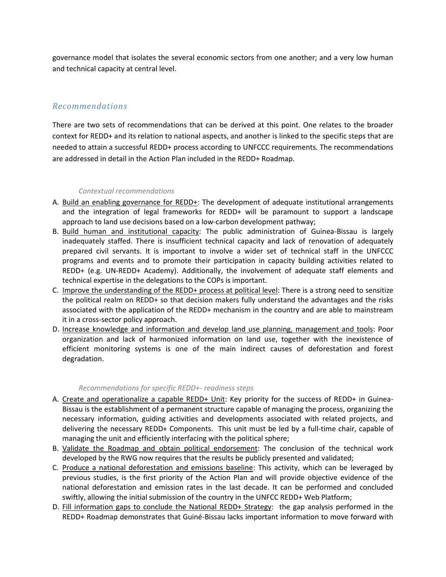governance model that isolates the several economic sectors from one another; and a very low human and technical capacity at central level.

## *Recommendations*

There are two sets of recommendations that can be derived at this point. One relates to the broader context for REDD+ and its relation to national aspects, and another is linked to the specific steps that are needed to attain a successful REDD+ process according to UNFCCC requirements. The recommendations are addressed in detail in the Action Plan included in the REDD+ Roadmap.

#### *Contextual recommendations*

- A. Build an enabling governance for REDD+: The development of adequate institutional arrangements and the integration of legal frameworks for REDD+ will be paramount to support a landscape approach to land use decisions based on a low-carbon development pathway;
- B. Build human and institutional capacity: The public administration of Guinea-Bissau is largely inadequately staffed. There is insufficient technical capacity and lack of renovation of adequately prepared civil servants. It is important to involve a wider set of technical staff in the UNFCCC programs and events and to promote their participation in capacity building activities related to REDD+ (e.g. UN-REDD+ Academy). Additionally, the involvement of adequate staff elements and technical expertise in the delegations to the COPs is important.
- C. Improve the understanding of the REDD+ process at political level: There is a strong need to sensitize the political realm on REDD+ so that decision makers fully understand the advantages and the risks associated with the application of the REDD+ mechanism in the country and are able to mainstream it in a cross-sector policy approach.
- D. Increase knowledge and information and develop land use planning, management and tools: Poor organization and lack of harmonized information on land use, together with the inexistence of efficient monitoring systems is one of the main indirect causes of deforestation and forest degradation.

#### *Recommendations for specific REDD+- readiness steps*

- A. Create and operationalize a capable REDD+ Unit: Key priority for the success of REDD+ in Guinea-Bissau is the establishment of a permanent structure capable of managing the process, organizing the necessary information, guiding activities and developments associated with related projects, and delivering the necessary REDD+ Components. This unit must be led by a full-time chair, capable of managing the unit and efficiently interfacing with the political sphere;
- B. Validate the Roadmap and obtain political endorsement: The conclusion of the technical work developed by the RWG now requires that the results be publicly presented and validated;
- C. Produce a national deforestation and emissions baseline: This activity, which can be leveraged by previous studies, is the first priority of the Action Plan and will provide objective evidence of the national deforestation and emission rates in the last decade. It can be performed and concluded swiftly, allowing the initial submission of the country in the UNFCC REDD+ Web Platform;
- D. Fill information gaps to conclude the National REDD+ Strategy: the gap analysis performed in the REDD+ Roadmap demonstrates that Guiné-Bissau lacks important information to move forward with